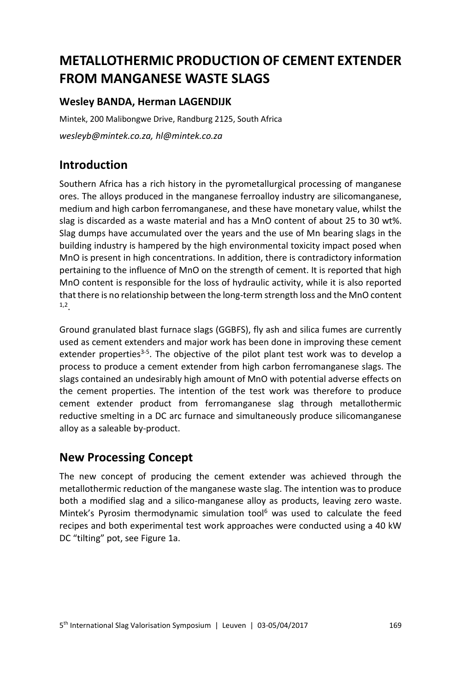# **METALLOTHERMIC PRODUCTION OF CEMENT EXTENDER FROM MANGANESE WASTE SLAGS**

#### **Wesley BANDA, Herman LAGENDIJK**

Mintek, 200 Malibongwe Drive, Randburg 2125, South Africa *wesleyb@mintek.co.za, hl@mintek.co.za*

#### **Introduction**

Southern Africa has a rich history in the pyrometallurgical processing of manganese ores. The alloys produced in the manganese ferroalloy industry are silicomanganese, medium and high carbon ferromanganese, and these have monetary value, whilst the slag is discarded as a waste material and has a MnO content of about 25 to 30 wt%. Slag dumps have accumulated over the years and the use of Mn bearing slags in the building industry is hampered by the high environmental toxicity impact posed when MnO is present in high concentrations. In addition, there is contradictory information pertaining to the influence of MnO on the strength of cement. It is reported that high MnO content is responsible for the loss of hydraulic activity, while it is also reported that there is no relationship between the long-term strength loss and the MnO content 1,2 .

Ground granulated blast furnace slags (GGBFS), fly ash and silica fumes are currently used as cement extenders and major work has been done in improving these cement extender properties<sup>3-5</sup>. The objective of the pilot plant test work was to develop a process to produce a cement extender from high carbon ferromanganese slags. The slags contained an undesirably high amount of MnO with potential adverse effects on the cement properties. The intention of the test work was therefore to produce cement extender product from ferromanganese slag through metallothermic reductive smelting in a DC arc furnace and simultaneously produce silicomanganese alloy as a saleable by-product.

#### **New Processing Concept**

The new concept of producing the cement extender was achieved through the metallothermic reduction of the manganese waste slag. The intention was to produce both a modified slag and a silico-manganese alloy as products, leaving zero waste. Mintek's Pyrosim thermodynamic simulation tool<sup>6</sup> was used to calculate the feed recipes and both experimental test work approaches were conducted using a 40 kW DC "tilting" pot, see Figure 1a.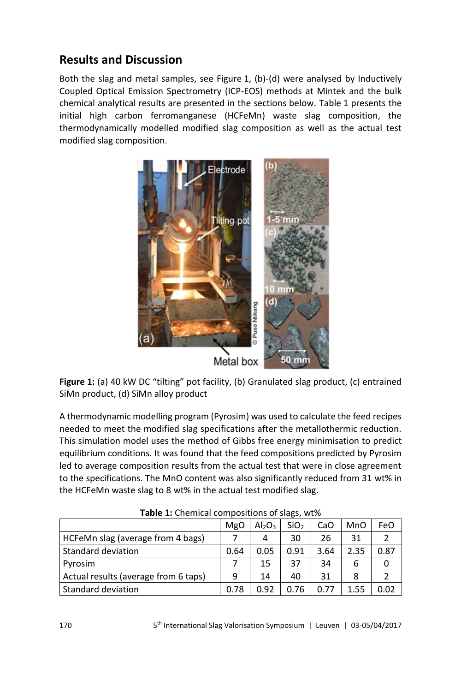# **Results and Discussion**

Both the slag and metal samples, see Figure 1, (b)-(d) were analysed by Inductively Coupled Optical Emission Spectrometry (ICP-EOS) methods at Mintek and the bulk chemical analytical results are presented in the sections below. Table 1 presents the initial high carbon ferromanganese (HCFeMn) waste slag composition, the thermodynamically modelled modified slag composition as well as the actual test modified slag composition.



**Figure 1:** (a) 40 kW DC "tilting" pot facility, (b) Granulated slag product, (c) entrained SiMn product, (d) SiMn alloy product

A thermodynamic modelling program (Pyrosim) was used to calculate the feed recipes needed to meet the modified slag specifications after the metallothermic reduction. This simulation model uses the method of Gibbs free energy minimisation to predict equilibrium conditions. It was found that the feed compositions predicted by Pyrosim led to average composition results from the actual test that were in close agreement to the specifications. The MnO content was also significantly reduced from 31 wt% in the HCFeMn waste slag to 8 wt% in the actual test modified slag.

| <b>TUBIC 1:</b> CHCHINGH CONTROSITIONS OF SIGHTS, WERE |      |                                |                  |      |            |               |  |
|--------------------------------------------------------|------|--------------------------------|------------------|------|------------|---------------|--|
|                                                        | MgO  | Al <sub>2</sub> O <sub>3</sub> | SiO <sub>2</sub> | CaO  | <b>MnO</b> | FeO           |  |
| HCFeMn slag (average from 4 bags)                      |      | 4                              | 30               | 26   | 31         | $\mathcal{P}$ |  |
| Standard deviation                                     | 0.64 | 0.05                           | 0.91             | 3.64 | 2.35       | 0.87          |  |
| Pyrosim                                                |      | 15                             | 37               | 34   |            | 0             |  |
| Actual results (average from 6 taps)                   | 9    | 14                             | 40               | 31   | 8          | າ             |  |
| <b>Standard deviation</b>                              | 0.78 | 0.92                           | 0.76             | 0.77 | 1.55       | 0.02          |  |

**Table 1:** Chemical compositions of slags, wt%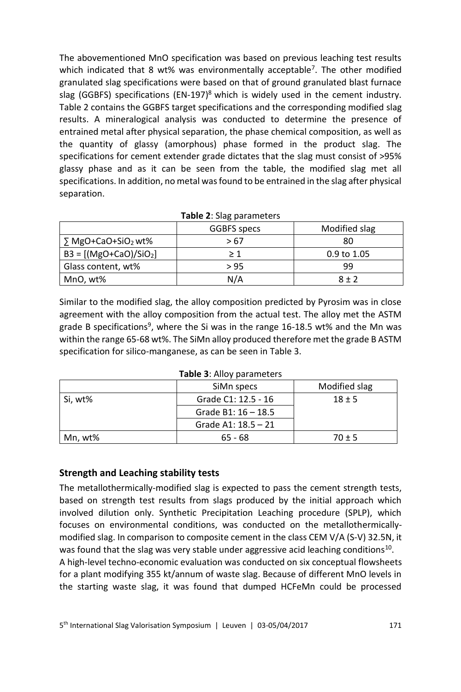The abovementioned MnO specification was based on previous leaching test results which indicated that 8 wt% was environmentally acceptable<sup>7</sup>. The other modified granulated slag specifications were based on that of ground granulated blast furnace slag (GGBFS) specifications (EN-197)<sup>8</sup> which is widely used in the cement industry. Table 2 contains the GGBFS target specifications and the corresponding modified slag results. A mineralogical analysis was conducted to determine the presence of entrained metal after physical separation, the phase chemical composition, as well as the quantity of glassy (amorphous) phase formed in the product slag. The specifications for cement extender grade dictates that the slag must consist of >95% glassy phase and as it can be seen from the table, the modified slag met all specifications. In addition, no metal was found to be entrained in the slag after physical separation.

| Table 2: Slag parameters                |                    |               |  |  |  |
|-----------------------------------------|--------------------|---------------|--|--|--|
|                                         | <b>GGBFS</b> specs | Modified slag |  |  |  |
| $\sum_{ }$ MgO+CaO+SiO <sub>2</sub> wt% | > 67               | 80            |  |  |  |
| $B3 = [(MgO+CaO)/SiO2]$                 | >1                 | $0.9$ to 1.05 |  |  |  |
| Glass content, wt%                      | > 95               | 99            |  |  |  |
| MnO, wt%                                | N/A                | $8 + 2$       |  |  |  |

Similar to the modified slag, the alloy composition predicted by Pyrosim was in close agreement with the alloy composition from the actual test. The alloy met the ASTM grade B specifications<sup>9</sup>, where the Si was in the range 16-18.5 wt% and the Mn was within the range 65-68 wt%. The SiMn alloy produced therefore met the grade B ASTM specification for silico-manganese, as can be seen in Table 3.

|         | SiMn specs            | Modified slag |  |  |  |  |
|---------|-----------------------|---------------|--|--|--|--|
| Si, wt% | Grade C1: 12.5 - 16   | $18 + 5$      |  |  |  |  |
|         | Grade B1: $16 - 18.5$ |               |  |  |  |  |
|         | Grade A1: $18.5 - 21$ |               |  |  |  |  |
| Mn, wt% | $65 - 68$             | $70 \pm 5$    |  |  |  |  |

**Table 3**: Alloy parameters

#### **Strength and Leaching stability tests**

The metallothermically-modified slag is expected to pass the cement strength tests, based on strength test results from slags produced by the initial approach which involved dilution only. Synthetic Precipitation Leaching procedure (SPLP), which focuses on environmental conditions, was conducted on the metallothermicallymodified slag. In comparison to composite cement in the class CEM V/A (S-V) 32.5N, it was found that the slag was very stable under aggressive acid leaching conditions<sup>10</sup>. A high-level techno-economic evaluation was conducted on six conceptual flowsheets for a plant modifying 355 kt/annum of waste slag. Because of different MnO levels in the starting waste slag, it was found that dumped HCFeMn could be processed